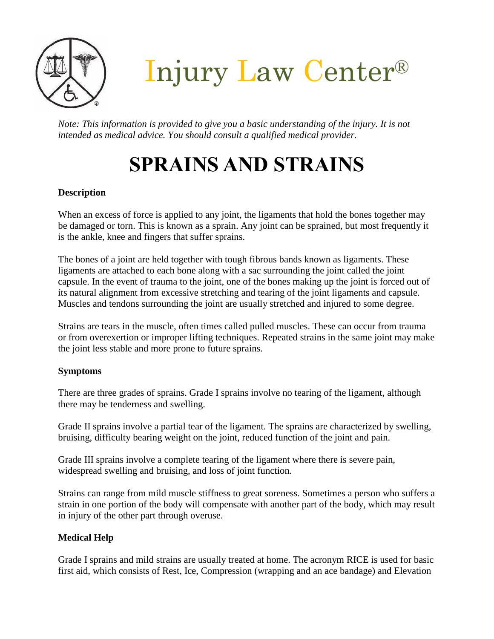

Injury Law Center®

*Note: This information is provided to give you a basic understanding of the injury. It is not intended as medical advice. You should consult a qualified medical provider.*

# **SPRAINS AND STRAINS**

### **Description**

When an excess of force is applied to any joint, the ligaments that hold the bones together may be damaged or torn. This is known as a sprain. Any joint can be sprained, but most frequently it is the ankle, knee and fingers that suffer sprains.

The bones of a joint are held together with tough fibrous bands known as ligaments. These ligaments are attached to each bone along with a sac surrounding the joint called the joint capsule. In the event of trauma to the joint, one of the bones making up the joint is forced out of its natural alignment from excessive stretching and tearing of the joint ligaments and capsule. Muscles and tendons surrounding the joint are usually stretched and injured to some degree.

Strains are tears in the muscle, often times called pulled muscles. These can occur from trauma or from overexertion or improper lifting techniques. Repeated strains in the same joint may make the joint less stable and more prone to future sprains.

#### **Symptoms**

There are three grades of sprains. Grade I sprains involve no tearing of the ligament, although there may be tenderness and swelling.

Grade II sprains involve a partial tear of the ligament. The sprains are characterized by swelling, bruising, difficulty bearing weight on the joint, reduced function of the joint and pain.

Grade III sprains involve a complete tearing of the ligament where there is severe pain, widespread swelling and bruising, and loss of joint function.

Strains can range from mild muscle stiffness to great soreness. Sometimes a person who suffers a strain in one portion of the body will compensate with another part of the body, which may result in injury of the other part through overuse.

## **Medical Help**

Grade I sprains and mild strains are usually treated at home. The acronym RICE is used for basic first aid, which consists of Rest, Ice, Compression (wrapping and an ace bandage) and Elevation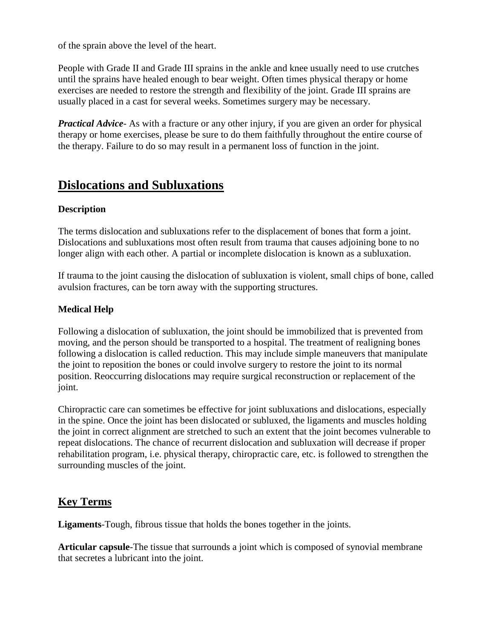of the sprain above the level of the heart.

People with Grade II and Grade III sprains in the ankle and knee usually need to use crutches until the sprains have healed enough to bear weight. Often times physical therapy or home exercises are needed to restore the strength and flexibility of the joint. Grade III sprains are usually placed in a cast for several weeks. Sometimes surgery may be necessary.

*Practical Advice-* As with a fracture or any other injury, if you are given an order for physical therapy or home exercises, please be sure to do them faithfully throughout the entire course of the therapy. Failure to do so may result in a permanent loss of function in the joint.

## **Dislocations and Subluxations**

#### **Description**

The terms dislocation and subluxations refer to the displacement of bones that form a joint. Dislocations and subluxations most often result from trauma that causes adjoining bone to no longer align with each other. A partial or incomplete dislocation is known as a subluxation.

If trauma to the joint causing the dislocation of subluxation is violent, small chips of bone, called avulsion fractures, can be torn away with the supporting structures.

#### **Medical Help**

Following a dislocation of subluxation, the joint should be immobilized that is prevented from moving, and the person should be transported to a hospital. The treatment of realigning bones following a dislocation is called reduction. This may include simple maneuvers that manipulate the joint to reposition the bones or could involve surgery to restore the joint to its normal position. Reoccurring dislocations may require surgical reconstruction or replacement of the joint.

Chiropractic care can sometimes be effective for joint subluxations and dislocations, especially in the spine. Once the joint has been dislocated or subluxed, the ligaments and muscles holding the joint in correct alignment are stretched to such an extent that the joint becomes vulnerable to repeat dislocations. The chance of recurrent dislocation and subluxation will decrease if proper rehabilitation program, i.e. physical therapy, chiropractic care, etc. is followed to strengthen the surrounding muscles of the joint.

## **Key Terms**

**Ligaments**-Tough, fibrous tissue that holds the bones together in the joints.

**Articular capsule**-The tissue that surrounds a joint which is composed of synovial membrane that secretes a lubricant into the joint.